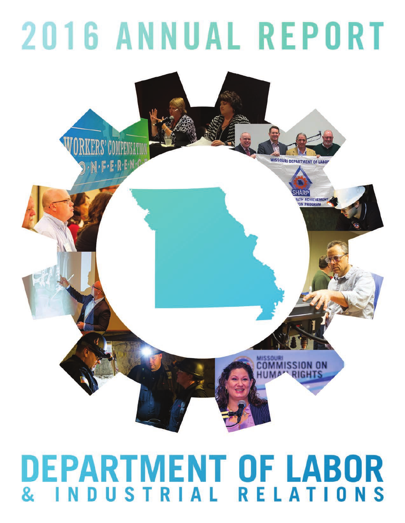# **2016 ANNUAL REPORT**



## DEPARTMENT OF LABOR DUSTRIAL RELATIONS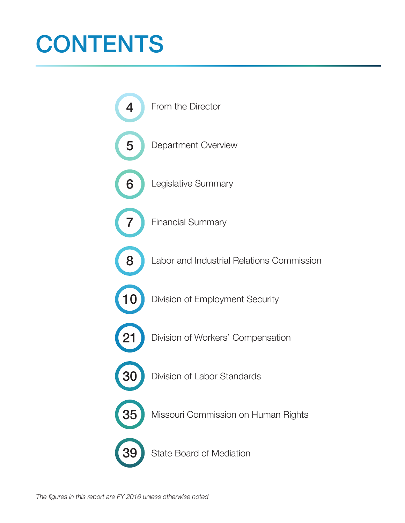## **CONTENTS**

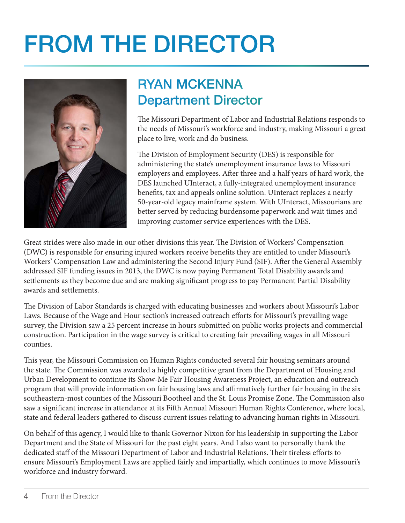## FROM THE DIRECTOR



### RYAN MCKENNA Department Director

The Missouri Department of Labor and Industrial Relations responds to the needs of Missouri's workforce and industry, making Missouri a great place to live, work and do business.

The Division of Employment Security (DES) is responsible for administering the state's unemployment insurance laws to Missouri employers and employees. After three and a half years of hard work, the DES launched UInteract, a fully-integrated unemployment insurance benefits, tax and appeals online solution. UInteract replaces a nearly 50-year-old legacy mainframe system. With UInteract, Missourians are better served by reducing burdensome paperwork and wait times and improving customer service experiences with the DES.

Great strides were also made in our other divisions this year. The Division of Workers' Compensation (DWC) is responsible for ensuring injured workers receive benefits they are entitled to under Missouri's Workers' Compensation Law and administering the Second Injury Fund (SIF). After the General Assembly addressed SIF funding issues in 2013, the DWC is now paying Permanent Total Disability awards and settlements as they become due and are making significant progress to pay Permanent Partial Disability awards and settlements.

The Division of Labor Standards is charged with educating businesses and workers about Missouri's Labor Laws. Because of the Wage and Hour section's increased outreach efforts for Missouri's prevailing wage survey, the Division saw a 25 percent increase in hours submitted on public works projects and commercial construction. Participation in the wage survey is critical to creating fair prevailing wages in all Missouri counties.

This year, the Missouri Commission on Human Rights conducted several fair housing seminars around the state. The Commission was awarded a highly competitive grant from the Department of Housing and Urban Development to continue its Show-Me Fair Housing Awareness Project, an education and outreach program that will provide information on fair housing laws and affirmatively further fair housing in the six southeastern-most counties of the Missouri Bootheel and the St. Louis Promise Zone. The Commission also saw a significant increase in attendance at its Fifth Annual Missouri Human Rights Conference, where local, state and federal leaders gathered to discuss current issues relating to advancing human rights in Missouri.

On behalf of this agency, I would like to thank Governor Nixon for his leadership in supporting the Labor Department and the State of Missouri for the past eight years. And I also want to personally thank the dedicated staff of the Missouri Department of Labor and Industrial Relations. Their tireless efforts to ensure Missouri's Employment Laws are applied fairly and impartially, which continues to move Missouri's workforce and industry forward.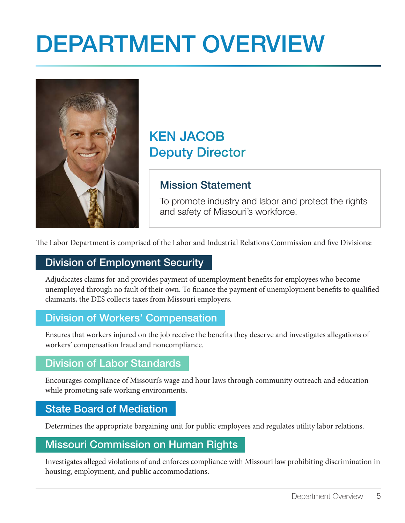## DEPARTMENT OVERVIEW



### KEN JACOB Deputy Director

### Mission Statement

To promote industry and labor and protect the rights and safety of Missouri's workforce.

The Labor Department is comprised of the Labor and Industrial Relations Commission and five Divisions:

### Division of Employment Security

Adjudicates claims for and provides payment of unemployment benefits for employees who become unemployed through no fault of their own. To finance the payment of unemployment benefits to qualified claimants, the DES collects taxes from Missouri employers.

#### Division of Workers' Compensation

Ensures that workers injured on the job receive the benefits they deserve and investigates allegations of workers' compensation fraud and noncompliance.

#### Division of Labor Standards

Encourages compliance of Missouri's wage and hour laws through community outreach and education while promoting safe working environments.

#### State Board of Mediation

Determines the appropriate bargaining unit for public employees and regulates utility labor relations.

#### Missouri Commission on Human Rights

Investigates alleged violations of and enforces compliance with Missouri law prohibiting discrimination in housing, employment, and public accommodations.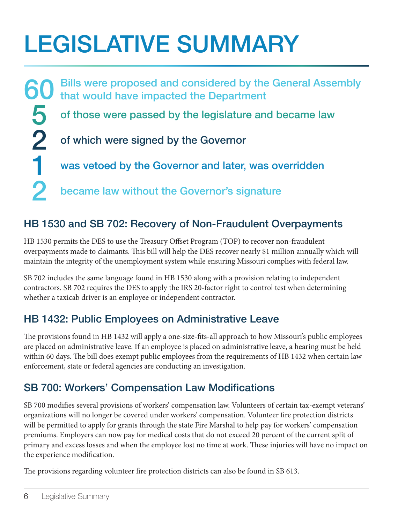## LEGISLATIVE SUMMARY

60 5 2 1 2 Bills were proposed and considered by the General Assembly that would have impacted the Department of those were passed by the legislature and became law of which were signed by the Governor was vetoed by the Governor and later, was overridden became law without the Governor's signature

### HB 1530 and SB 702: Recovery of Non-Fraudulent Overpayments

HB 1530 permits the DES to use the Treasury Offset Program (TOP) to recover non-fraudulent overpayments made to claimants. This bill will help the DES recover nearly \$1 million annually which will maintain the integrity of the unemployment system while ensuring Missouri complies with federal law.

SB 702 includes the same language found in HB 1530 along with a provision relating to independent contractors. SB 702 requires the DES to apply the IRS 20-factor right to control test when determining whether a taxicab driver is an employee or independent contractor.

### HB 1432: Public Employees on Administrative Leave

The provisions found in HB 1432 will apply a one-size-fits-all approach to how Missouri's public employees are placed on administrative leave. If an employee is placed on administrative leave, a hearing must be held within 60 days. The bill does exempt public employees from the requirements of HB 1432 when certain law enforcement, state or federal agencies are conducting an investigation.

### SB 700: Workers' Compensation Law Modifications

SB 700 modifies several provisions of workers' compensation law. Volunteers of certain tax-exempt veterans' organizations will no longer be covered under workers' compensation. Volunteer fire protection districts will be permitted to apply for grants through the state Fire Marshal to help pay for workers' compensation premiums. Employers can now pay for medical costs that do not exceed 20 percent of the current split of primary and excess losses and when the employee lost no time at work. These injuries will have no impact on the experience modification.

The provisions regarding volunteer fire protection districts can also be found in SB 613.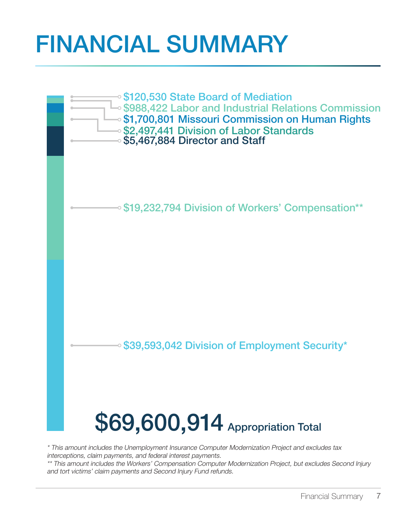## FINANCIAL SUMMARY



\* This amount includes the Unemployment Insurance Computer Modernization Project and excludes tax interceptions, claim payments, and federal interest payments.

\*\* This amount includes the Workers' Compensation Computer Modernization Project, but excludes Second Injury and tort victims' claim payments and Second Injury Fund refunds.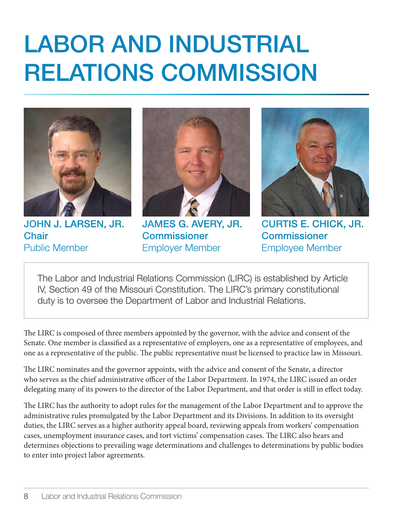## LABOR AND INDUSTRIAL RELATIONS COMMISSION



JOHN J. LARSEN, JR. **Chair** Public Member



JAMES G. AVERY, JR. **Commissioner** Employer Member



CURTIS E. CHICK, JR. **Commissioner** Employee Member

The Labor and Industrial Relations Commission (LIRC) is established by Article IV, Section 49 of the Missouri Constitution. The LIRC's primary constitutional duty is to oversee the Department of Labor and Industrial Relations.

The LIRC is composed of three members appointed by the governor, with the advice and consent of the Senate. One member is classified as a representative of employers, one as a representative of employees, and one as a representative of the public. The public representative must be licensed to practice law in Missouri.

The LIRC nominates and the governor appoints, with the advice and consent of the Senate, a director who serves as the chief administrative officer of the Labor Department. In 1974, the LIRC issued an order delegating many of its powers to the director of the Labor Department, and that order is still in effect today.

The LIRC has the authority to adopt rules for the management of the Labor Department and to approve the administrative rules promulgated by the Labor Department and its Divisions. In addition to its oversight duties, the LIRC serves as a higher authority appeal board, reviewing appeals from workers' compensation cases, unemployment insurance cases, and tort victims' compensation cases. The LIRC also hears and determines objections to prevailing wage determinations and challenges to determinations by public bodies to enter into project labor agreements.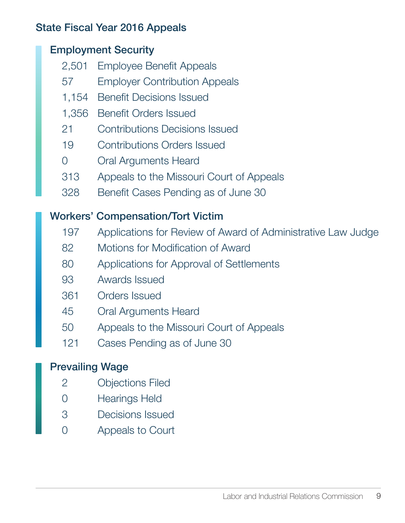### State Fiscal Year 2016 Appeals

### Employment Security

- 2,501 Employee Benefit Appeals
- 57 Employer Contribution Appeals
- 1,154 Benefit Decisions Issued
- 1,356 Benefit Orders Issued
- 21 Contributions Decisions Issued
- 19 Contributions Orders Issued
- 0 Oral Arguments Heard
- 313 Appeals to the Missouri Court of Appeals
- 328 Benefit Cases Pending as of June 30

### Workers' Compensation/Tort Victim

- 197 Applications for Review of Award of Administrative Law Judge
- 82 Motions for Modification of Award
- 80 Applications for Approval of Settlements
- 93 Awards Issued
- 361 Orders Issued
- 45 Oral Arguments Heard
- 50 Appeals to the Missouri Court of Appeals
- 121 Cases Pending as of June 30

### Prevailing Wage

- 2 Objections Filed
- 0 Hearings Held
- 3 Decisions Issued
- 0 Appeals to Court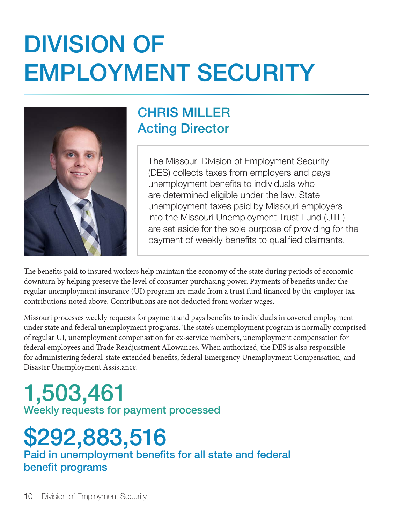## DIVISION OF EMPLOYMENT SECURITY



### CHRIS MILLER Acting Director

The Missouri Division of Employment Security (DES) collects taxes from employers and pays unemployment benefits to individuals who are determined eligible under the law. State unemployment taxes paid by Missouri employers into the Missouri Unemployment Trust Fund (UTF) are set aside for the sole purpose of providing for the payment of weekly benefits to qualified claimants.

The benefits paid to insured workers help maintain the economy of the state during periods of economic downturn by helping preserve the level of consumer purchasing power. Payments of benefits under the regular unemployment insurance (UI) program are made from a trust fund financed by the employer tax contributions noted above. Contributions are not deducted from worker wages.

Missouri processes weekly requests for payment and pays benefits to individuals in covered employment under state and federal unemployment programs. The state's unemployment program is normally comprised of regular UI, unemployment compensation for ex-service members, unemployment compensation for federal employees and Trade Readjustment Allowances. When authorized, the DES is also responsible for administering federal-state extended benefits, federal Emergency Unemployment Compensation, and Disaster Unemployment Assistance.

### 1,503,461 Weekly requests for payment processed

### \$292,883,516 Paid in unemployment benefits for all state and federal benefit programs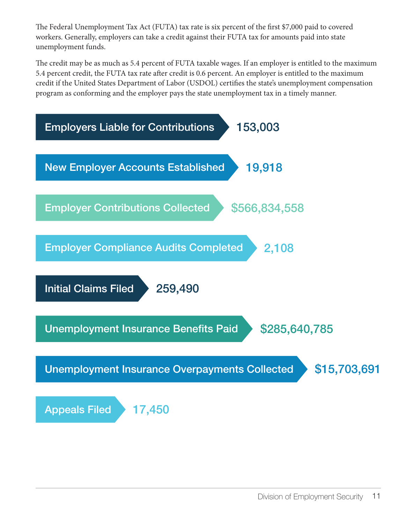The Federal Unemployment Tax Act (FUTA) tax rate is six percent of the first \$7,000 paid to covered workers. Generally, employers can take a credit against their FUTA tax for amounts paid into state unemployment funds.

The credit may be as much as 5.4 percent of FUTA taxable wages. If an employer is entitled to the maximum 5.4 percent credit, the FUTA tax rate after credit is 0.6 percent. An employer is entitled to the maximum credit if the United States Department of Labor (USDOL) certifies the state's unemployment compensation program as conforming and the employer pays the state unemployment tax in a timely manner.

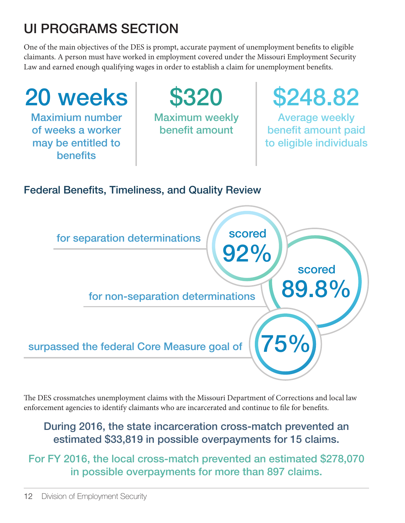### UI PROGRAMS SECTION

One of the main objectives of the DES is prompt, accurate payment of unemployment benefits to eligible claimants. A person must have worked in employment covered under the Missouri Employment Security Law and earned enough qualifying wages in order to establish a claim for unemployment benefits.



The DES crossmatches unemployment claims with the Missouri Department of Corrections and local law enforcement agencies to identify claimants who are incarcerated and continue to file for benefits.

#### During 2016, the state incarceration cross-match prevented an estimated \$33,819 in possible overpayments for 15 claims.

For FY 2016, the local cross-match prevented an estimated \$278,070 in possible overpayments for more than 897 claims.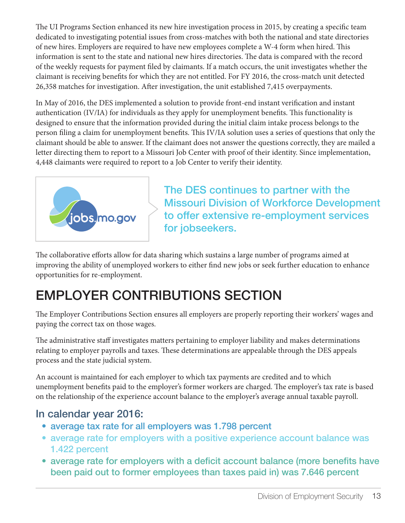The UI Programs Section enhanced its new hire investigation process in 2015, by creating a specific team dedicated to investigating potential issues from cross-matches with both the national and state directories of new hires. Employers are required to have new employees complete a W-4 form when hired. This information is sent to the state and national new hires directories. The data is compared with the record of the weekly requests for payment filed by claimants. If a match occurs, the unit investigates whether the claimant is receiving benefits for which they are not entitled. For FY 2016, the cross-match unit detected 26,358 matches for investigation. After investigation, the unit established 7,415 overpayments.

In May of 2016, the DES implemented a solution to provide front-end instant verification and instant authentication (IV/IA) for individuals as they apply for unemployment benefits. This functionality is designed to ensure that the information provided during the initial claim intake process belongs to the person filing a claim for unemployment benefits. This IV/IA solution uses a series of questions that only the claimant should be able to answer. If the claimant does not answer the questions correctly, they are mailed a letter directing them to report to a Missouri Job Center with proof of their identity. Since implementation, 4,448 claimants were required to report to a Job Center to verify their identity.



The DES continues to partner with the Missouri Division of Workforce Development to offer extensive re-employment services for jobseekers.

The collaborative efforts allow for data sharing which sustains a large number of programs aimed at improving the ability of unemployed workers to either find new jobs or seek further education to enhance opportunities for re-employment.

### EMPLOYER CONTRIBUTIONS SECTION

The Employer Contributions Section ensures all employers are properly reporting their workers' wages and paying the correct tax on those wages.

The administrative staff investigates matters pertaining to employer liability and makes determinations relating to employer payrolls and taxes. These determinations are appealable through the DES appeals process and the state judicial system.

An account is maintained for each employer to which tax payments are credited and to which unemployment benefits paid to the employer's former workers are charged. The employer's tax rate is based on the relationship of the experience account balance to the employer's average annual taxable payroll.

#### In calendar year 2016:

- average tax rate for all employers was 1.798 percent
- average rate for employers with a positive experience account balance was 1.422 percent
- average rate for employers with a deficit account balance (more benefits have been paid out to former employees than taxes paid in) was 7.646 percent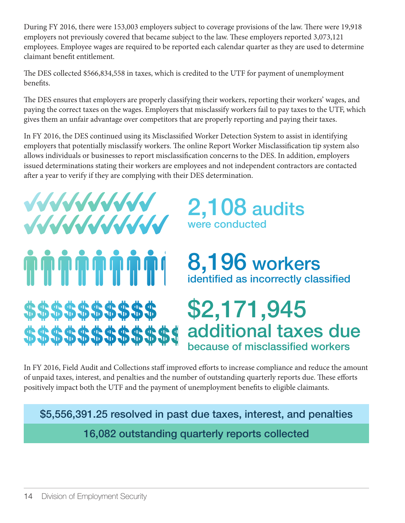During FY 2016, there were 153,003 employers subject to coverage provisions of the law. There were 19,918 employers not previously covered that became subject to the law. These employers reported 3,073,121 employees. Employee wages are required to be reported each calendar quarter as they are used to determine claimant benefit entitlement.

The DES collected \$566,834,558 in taxes, which is credited to the UTF for payment of unemployment benefits.

The DES ensures that employers are properly classifying their workers, reporting their workers' wages, and paying the correct taxes on the wages. Employers that misclassify workers fail to pay taxes to the UTF, which gives them an unfair advantage over competitors that are properly reporting and paying their taxes.

In FY 2016, the DES continued using its Misclassified Worker Detection System to assist in identifying employers that potentially misclassify workers. The online Report Worker Misclassification tip system also allows individuals or businesses to report misclassification concerns to the DES. In addition, employers issued determinations stating their workers are employees and not independent contractors are contacted after a year to verify if they are complying with their DES determination.



\$\$\$\$\$\$\$\$\$\$

\$\$\$\$\$\$\$\$\$\$\$

### 2,108 audits were conducted

### 8,196 workers identified as incorrectly classified

### \$2,171,945 additional taxes due because of misclassified workers

In FY 2016, Field Audit and Collections staff improved efforts to increase compliance and reduce the amount of unpaid taxes, interest, and penalties and the number of outstanding quarterly reports due. These efforts positively impact both the UTF and the payment of unemployment benets to eligible claimants.

\$5,556,391.25 resolved in past due taxes, interest, and penalties

16,082 outstanding quarterly reports collected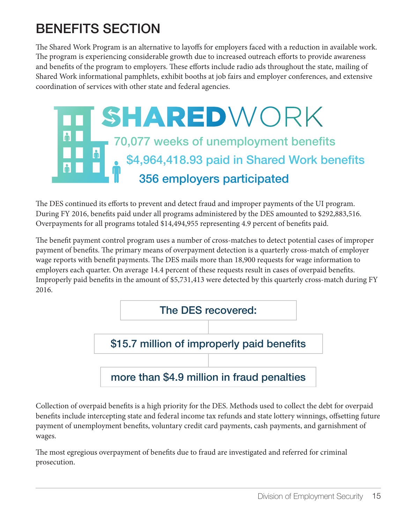### BENEFITS SECTION

The Shared Work Program is an alternative to layoffs for employers faced with a reduction in available work. The program is experiencing considerable growth due to increased outreach efforts to provide awareness and benefits of the program to employers. These efforts include radio ads throughout the state, mailing of Shared Work informational pamphlets, exhibit booths at job fairs and employer conferences, and extensive coordination of services with other state and federal agencies.



The DES continued its efforts to prevent and detect fraud and improper payments of the UI program. During FY 2016, benefits paid under all programs administered by the DES amounted to \$292,883,516. Overpayments for all programs totaled \$14,494,955 representing 4.9 percent of benefits paid.

The benefit payment control program uses a number of cross-matches to detect potential cases of improper payment of benefits. The primary means of overpayment detection is a quarterly cross-match of employer wage reports with benefit payments. The DES mails more than 18,900 requests for wage information to employers each quarter. On average 14.4 percent of these requests result in cases of overpaid benefits. Improperly paid benefits in the amount of \$5,731,413 were detected by this quarterly cross-match during FY 2016.



Collection of overpaid benefits is a high priority for the DES. Methods used to collect the debt for overpaid benefits include intercepting state and federal income tax refunds and state lottery winnings, offsetting future payment of unemployment benefits, voluntary credit card payments, cash payments, and garnishment of wages.

The most egregious overpayment of benefits due to fraud are investigated and referred for criminal prosecution.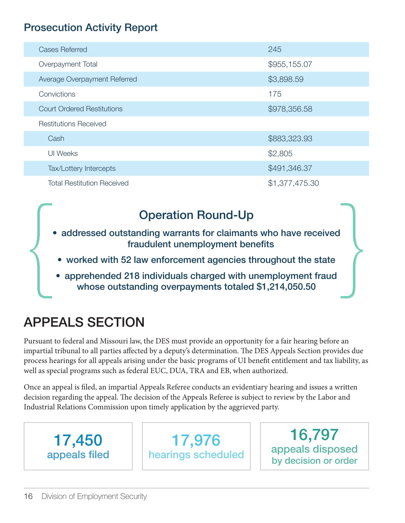### Prosecution Activity Report

| <b>Cases Referred</b>             | 245            |
|-----------------------------------|----------------|
| Overpayment Total                 | \$955,155.07   |
| Average Overpayment Referred      | \$3,898.59     |
| Convictions                       | 175            |
| <b>Court Ordered Restitutions</b> | \$978,356.58   |
| <b>Restitutions Received</b>      |                |
| Cash                              | \$883,323.93   |
| <b>UI</b> Weeks                   | \$2,805        |
| Tax/Lottery Intercepts            | \$491,346.37   |
| <b>Total Restitution Received</b> | \$1,377,475.30 |

### Operation Round-Up

- addressed outstanding warrants for claimants who have received fraudulent unemployment benefits Operation Round-Up<br>
• addressed outstanding warrants for claimants who have received<br>
fraudulent unemployment benefits<br>
• worked with 52 law enforcement agencies throughout the state<br>
• apprehended 218 individuals charged
	- worked with 52 law enforcement agencies throughout the state
	- apprehended 218 individuals charged with unemployment fraud

### APPEALS SECTION

Pursuant to federal and Missouri law, the DES must provide an opportunity for a fair hearing before an impartial tribunal to all parties affected by a deputy's determination. The DES Appeals Section provides due process hearings for all appeals arising under the basic programs of UI benefit entitlement and tax liability, as well as special programs such as federal EUC, DUA, TRA and EB, when authorized.

Once an appeal is filed, an impartial Appeals Referee conducts an evidentiary hearing and issues a written decision regarding the appeal. The decision of the Appeals Referee is subject to review by the Labor and Industrial Relations Commission upon timely application by the aggrieved party.



17,976 hearings scheduled

16,797 appeals disposed by decision or order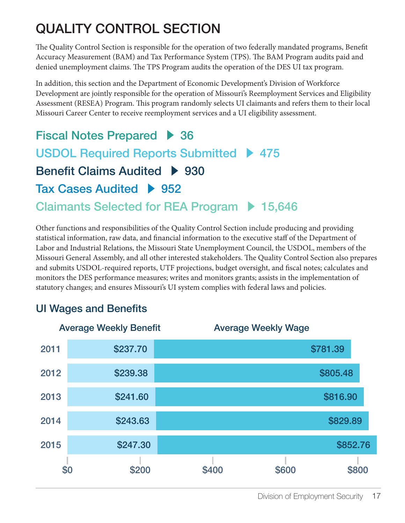### QUALITY CONTROL SECTION

The Quality Control Section is responsible for the operation of two federally mandated programs, Benefit Accuracy Measurement (BAM) and Tax Performance System (TPS). The BAM Program audits paid and denied unemployment claims. The TPS Program audits the operation of the DES UI tax program.

In addition, this section and the Department of Economic Development's Division of Workforce Development are jointly responsible for the operation of Missouri's Reemployment Services and Eligibility Assessment (RESEA) Program. This program randomly selects UI claimants and refers them to their local Missouri Career Center to receive reemployment services and a UI eligibility assessment.

Fiscal Notes Prepared  $\rightarrow$  36 USDOL Required Reports Submitted ▶ 475 Benefit Claims Audited > 930 Tax Cases Audited > 952 Claimants Selected for REA Program ▶ 15,646

Other functions and responsibilities of the Quality Control Section include producing and providing statistical information, raw data, and financial information to the executive staff of the Department of Labor and Industrial Relations, the Missouri State Unemployment Council, the USDOL, members of the Missouri General Assembly, and all other interested stakeholders. The Quality Control Section also prepares and submits USDOL-required reports, UTF projections, budget oversight, and fiscal notes; calculates and monitors the DES performance measures; writes and monitors grants; assists in the implementation of statutory changes; and ensures Missouri's UI system complies with federal laws and policies.

### UI Wages and Benefits

|      | <b>Average Weekly Benefit</b> | <b>Average Weekly Wage</b> |
|------|-------------------------------|----------------------------|
| 2011 | \$237.70                      | \$781.39                   |
| 2012 | \$239.38                      | \$805.48                   |
| 2013 | \$241.60                      | \$816.90                   |
| 2014 | \$243.63                      | \$829.89                   |
| 2015 | \$247.30                      | \$852.76                   |
| \$0  | \$200                         | \$600<br>\$800<br>\$400    |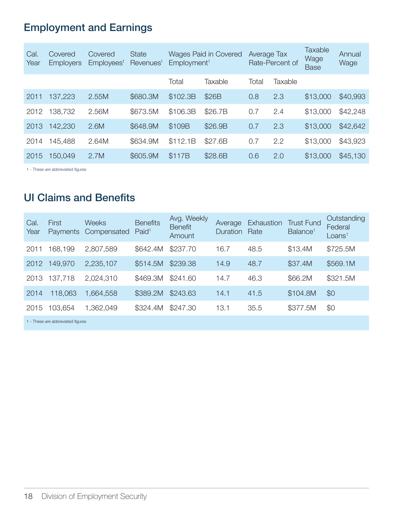### Employment and Earnings

| Cal.<br>Year | Covered<br><b>Employers</b> | Covered<br>Employees <sup>1</sup> | <b>State</b><br>Revenues <sup>1</sup> |          | <b>Wages Paid in Covered</b><br>Employment <sup>1</sup> |       | Average Tax<br>Rate-Percent of |          | Annual<br>Wage |
|--------------|-----------------------------|-----------------------------------|---------------------------------------|----------|---------------------------------------------------------|-------|--------------------------------|----------|----------------|
|              |                             |                                   |                                       | Total    | Taxable                                                 | Total | Taxable                        |          |                |
| 2011         | 137,223                     | 2.55M                             | \$680.3M                              | \$102.3B | \$26B                                                   | 0.8   | 2.3                            | \$13,000 | \$40,993       |
| 2012         | 138,732                     | 2.56M                             | \$673.5M                              | \$106.3B | \$26.7B                                                 | 0.7   | 2.4                            | \$13,000 | \$42,248       |
| 2013         | 142,230                     | 2.6M                              | \$648,9M                              | \$109B   | \$26.9B                                                 | 0.7   | 2.3                            | \$13,000 | \$42,642       |
| 2014         | 145,488                     | 2.64M                             | \$634,9M                              | \$112.1B | \$27.6B                                                 | 0.7   | 2.2                            | \$13,000 | \$43,923       |
| 2015         | 150,049                     | 2.7M                              | \$605.9M                              | \$117B   | \$28.6B                                                 | 0.6   | 2.0                            | \$13,000 | \$45,130       |
|              |                             |                                   |                                       |          |                                                         |       |                                |          |                |

1 - These are abbreviated figures

#### UI Claims and Benefits

| Cal.<br>Year | First<br><b>Payments</b>          | <b>Weeks</b><br>Compensated | <b>Benefits</b><br>Paid <sup>1</sup> | Avg. Weekly<br><b>Benefit</b><br>Amount | Average<br><b>Duration</b> | Exhaustion<br>Rate | <b>Trust Fund</b><br>Balance <sup>1</sup> | Outstanding<br>Federal<br>Loans <sup>1</sup> |
|--------------|-----------------------------------|-----------------------------|--------------------------------------|-----------------------------------------|----------------------------|--------------------|-------------------------------------------|----------------------------------------------|
| 2011         | 168,199                           | 2,807,589                   | \$642.4M                             | \$237.70                                | 16.7                       | 48.5               | \$13.4M                                   | \$725.5M                                     |
| 2012         | 149,970                           | 2,235,107                   | \$514.5M                             | \$239.38                                | 14.9                       | 48.7               | \$37.4M                                   | \$569.1M                                     |
| 2013         | 137,718                           | 2,024,310                   | \$469.3M                             | \$241.60                                | 14.7                       | 46.3               | \$66,2M                                   | \$321.5M                                     |
| 2014         | 118,063                           | 1,664,558                   | \$389.2M                             | \$243.63                                | 14.1                       | 41.5               | \$104.8M                                  | \$0                                          |
| 2015         | 103,654                           | 1.362.049                   | \$324.4M                             | \$247.30                                | 13.1                       | 35.5               | \$377.5M                                  | \$0                                          |
|              | 1 - These are abbreviated figures |                             |                                      |                                         |                            |                    |                                           |                                              |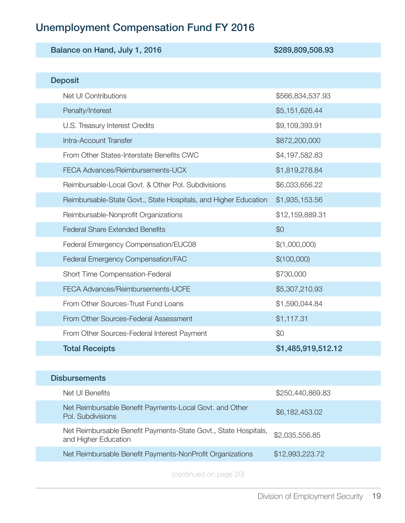### Unemployment Compensation Fund FY 2016

| Balance on Hand, July 1, 2016                                   | \$289,809,508.93   |  |  |
|-----------------------------------------------------------------|--------------------|--|--|
|                                                                 |                    |  |  |
| <b>Deposit</b>                                                  |                    |  |  |
| Net UI Contributions                                            | \$566,834,537.93   |  |  |
| Penalty/Interest                                                | \$5,151,626.44     |  |  |
| U.S. Treasury Interest Credits                                  | \$9,109,393.91     |  |  |
| Intra-Account Transfer                                          | \$872,200,000      |  |  |
| From Other States-Interstate Benefits CWC                       | \$4,197,582.83     |  |  |
| FECA Advances/Reimbursements-UCX                                | \$1,819,278.84     |  |  |
| Reimbursable-Local Govt. & Other Pol. Subdivisions              | \$6,033,656.22     |  |  |
| Reimbursable-State Govt., State Hospitals, and Higher Education | \$1,935,153.56     |  |  |
| Reimbursable-Nonprofit Organizations                            | \$12,159,889.31    |  |  |
| <b>Federal Share Extended Benefits</b>                          | \$0                |  |  |
| Federal Emergency Compensation/EUC08                            | \$(1,000,000)      |  |  |
| Federal Emergency Compensation/FAC                              | \$(100,000)        |  |  |
| Short Time Compensation-Federal                                 | \$730,000          |  |  |
| FECA Advances/Reimbursements-UCFE                               | \$5,307,210.93     |  |  |
| From Other Sources-Trust Fund Loans                             | \$1,590,044.84     |  |  |
| From Other Sources-Federal Assessment                           | \$1,117.31         |  |  |
| From Other Sources-Federal Interest Payment                     | \$0                |  |  |
| <b>Total Receipts</b>                                           | \$1,485,919,512.12 |  |  |

| <b>Disbursements</b>                                                                    |                  |
|-----------------------------------------------------------------------------------------|------------------|
| Net Ul Benefits                                                                         | \$250,440,869.83 |
| Net Reimbursable Benefit Payments-Local Govt. and Other<br>Pol. Subdivisions            | \$6,182,453.02   |
| Net Reimbursable Benefit Payments-State Govt., State Hospitals,<br>and Higher Education | \$2,035,556.85   |
| Net Reimbursable Benefit Payments-NonProfit Organizations                               | \$12,993,223.72  |
|                                                                                         |                  |

(continued on page 20)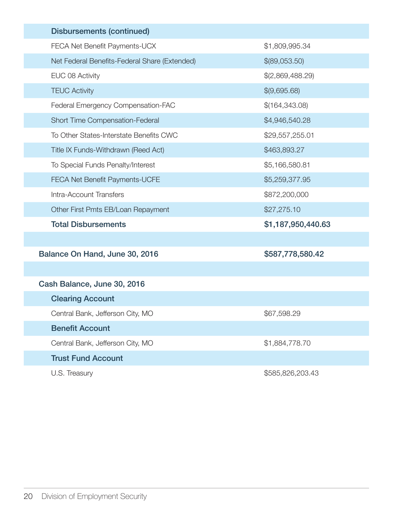| <b>Disbursements (continued)</b>              |                    |
|-----------------------------------------------|--------------------|
| FECA Net Benefit Payments-UCX                 | \$1,809,995.34     |
| Net Federal Benefits-Federal Share (Extended) | \$(89,053.50)      |
| EUC 08 Activity                               | \$(2,869,488.29)   |
| <b>TEUC Activity</b>                          | \$(9,695.68)       |
| Federal Emergency Compensation-FAC            | \$(164,343.08)     |
| Short Time Compensation-Federal               | \$4,946,540.28     |
| To Other States-Interstate Benefits CWC       | \$29,557,255.01    |
| Title IX Funds-Withdrawn (Reed Act)           | \$463,893.27       |
| To Special Funds Penalty/Interest             | \$5,166,580.81     |
| <b>FECA Net Benefit Payments-UCFE</b>         | \$5,259,377.95     |
| Intra-Account Transfers                       | \$872,200,000      |
| Other First Pmts EB/Loan Repayment            | \$27,275.10        |
| <b>Total Disbursements</b>                    | \$1,187,950,440.63 |
|                                               |                    |
| Balance On Hand, June 30, 2016                | \$587,778,580.42   |
|                                               |                    |
| Cash Balance, June 30, 2016                   |                    |
| <b>Clearing Account</b>                       |                    |
| Central Bank, Jefferson City, MO              | \$67,598.29        |
| <b>Benefit Account</b>                        |                    |
| Central Bank, Jefferson City, MO              | \$1,884,778.70     |
| <b>Trust Fund Account</b>                     |                    |
| U.S. Treasury                                 | \$585,826,203.43   |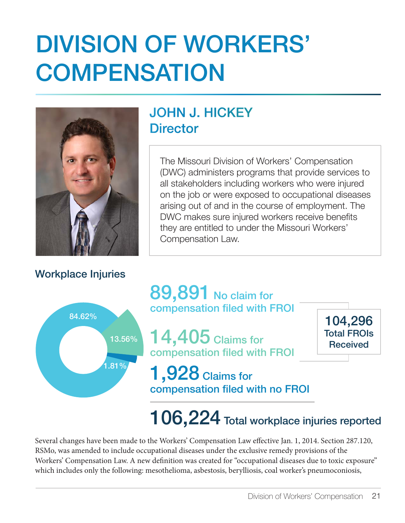## DIVISION OF WORKERS' **COMPENSATION**



#### Workplace Injuries

### JOHN J. HICKEY **Director**

The Missouri Division of Workers' Compensation (DWC) administers programs that provide services to all stakeholders including workers who were injured on the job or were exposed to occupational diseases arising out of and in the course of employment. The DWC makes sure injured workers receive benefits they are entitled to under the Missouri Workers' Compensation Law.



89,891 No claim for compensation filed with FROI

14,405 Claims for compensation filed with FROI

104,296 Total FROIs Received

### 1,928 Claims for compensation filed with no FROI

### 106,224 Total workplace injuries reported

Several changes have been made to the Workers' Compensation Law effective Jan. 1, 2014. Section 287.120, RSMo, was amended to include occupational diseases under the exclusive remedy provisions of the Workers' Compensation Law. A new definition was created for "occupational diseases due to toxic exposure" which includes only the following: mesothelioma, asbestosis, berylliosis, coal worker's pneumoconiosis,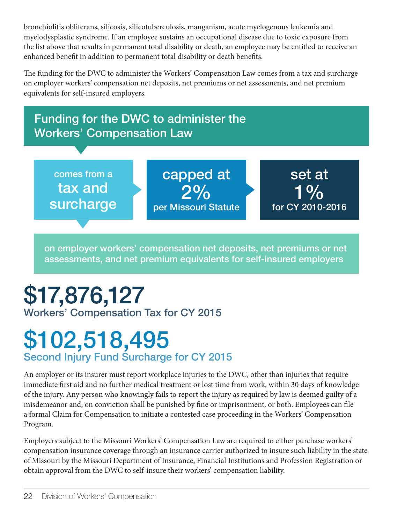bronchiolitis obliterans, silicosis, silicotuberculosis, manganism, acute myelogenous leukemia and myelodysplastic syndrome. If an employee sustains an occupational disease due to toxic exposure from the list above that results in permanent total disability or death, an employee may be entitled to receive an enhanced benefit in addition to permanent total disability or death benefits.

The funding for the DWC to administer the Workers' Compensation Law comes from a tax and surcharge on employer workers' compensation net deposits, net premiums or net assessments, and net premium equivalents for self-insured employers.



on employer workers' compensation net deposits, net premiums or net assessments, and net premium equivalents for self-insured employers

### \$17,876,127 Workers' Compensation Tax for CY 2015

### \$102,518,495 Second Injury Fund Surcharge for CY 2015

An employer or its insurer must report workplace injuries to the DWC, other than injuries that require immediate first aid and no further medical treatment or lost time from work, within 30 days of knowledge of the injury. Any person who knowingly fails to report the injury as required by law is deemed guilty of a misdemeanor and, on conviction shall be punished by fine or imprisonment, or both. Employees can file a formal Claim for Compensation to initiate a contested case proceeding in the Workers' Compensation Program.

Employers subject to the Missouri Workers' Compensation Law are required to either purchase workers' compensation insurance coverage through an insurance carrier authorized to insure such liability in the state of Missouri by the Missouri Department of Insurance, Financial Institutions and Profession Registration or obtain approval from the DWC to self-insure their workers' compensation liability.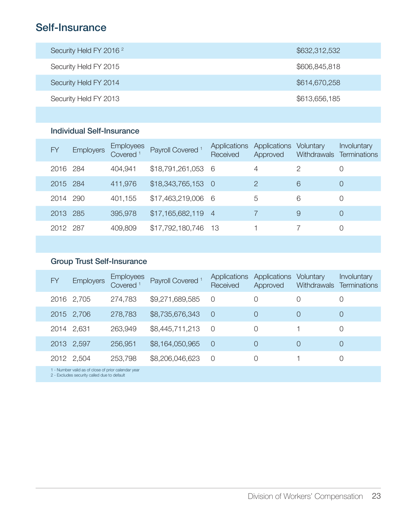### Self-Insurance

| Security Held FY 2016 <sup>2</sup> | \$632,312,532 |
|------------------------------------|---------------|
| Security Held FY 2015              | \$606,845,818 |
| Security Held FY 2014              | \$614,670,258 |
| Security Held FY 2013              | \$613,656,185 |
|                                    |               |

#### Individual Self-Insurance

| FY       | <b>Employers</b> | Employees<br>Covered <sup>1</sup> | Payroll Covered <sup>1</sup> | Applications<br>Received | Applications<br>Approved | Voluntary | <b>Involuntary</b><br>Withdrawals Terminations |
|----------|------------------|-----------------------------------|------------------------------|--------------------------|--------------------------|-----------|------------------------------------------------|
| 2016 284 |                  | 404,941                           | \$18,791,261,053 6           |                          | 4                        | 2         | O                                              |
| 2015 284 |                  | 411,976                           | $$18,343,765,153$ 0          |                          | $\mathcal{P}$            | 6         | $\Omega$                                       |
| 2014 290 |                  | 401,155                           | \$17,463,219,006 6           |                          | 5                        | 6         | $\Omega$                                       |
| 2013 285 |                  | 395,978                           | $$17,165,682,119$ 4          |                          |                          | 9         | $\Omega$                                       |
| 2012 287 |                  | 409,809                           | \$17,792,180,746 13          |                          |                          |           |                                                |

#### Group Trust Self-Insurance

| FY                                                                                                | <b>Employers</b> | <b>Employees</b><br>Covered <sup>1</sup> | Payroll Covered <sup>1</sup> | Applications<br>Received | Applications<br>Approved | Voluntary<br><b>Withdrawals</b> | <b>Involuntary</b><br><b>Terminations</b> |  |
|---------------------------------------------------------------------------------------------------|------------------|------------------------------------------|------------------------------|--------------------------|--------------------------|---------------------------------|-------------------------------------------|--|
|                                                                                                   | 2016 2,705       | 274,783                                  | \$9,271,689,585              | $\Omega$                 |                          | 0                               |                                           |  |
|                                                                                                   | 2015 2,706       | 278,783                                  | \$8,735,676,343              | $\overline{0}$           | $\Omega$                 | 0                               | $\theta$                                  |  |
|                                                                                                   | 2014 2,631       | 263,949                                  | \$8,445,711,213              | $\Omega$                 | $\bigcap$                |                                 | $\Omega$                                  |  |
|                                                                                                   | 2013 2,597       | 256,951                                  | \$8,164,050,965              | $\Omega$                 | 0                        | 0                               | $\Omega$                                  |  |
|                                                                                                   | 2012 2,504       | 253,798                                  | \$8,206,046,623              | $\bigcirc$               | $\bigcap$                |                                 | O                                         |  |
| 1 - Number valid as of close of prior calendar year<br>0. Evoludos populais collectiva to defeuit |                  |                                          |                              |                          |                          |                                 |                                           |  |

security called due to default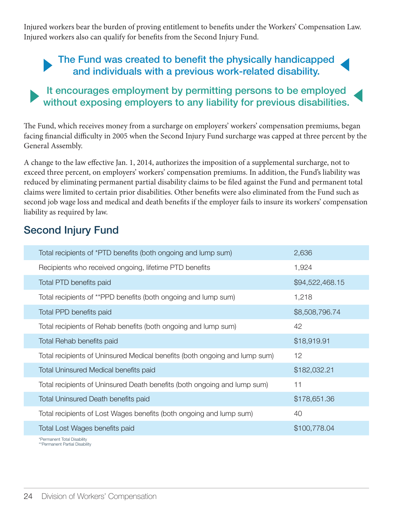Injured workers bear the burden of proving entitlement to benefits under the Workers' Compensation Law. Injured workers also can qualify for benefits from the Second Injury Fund.

### The Fund was created to benefit the physically handicapped and individuals with a previous work-related disability.

#### It encourages employment by permitting persons to be employed without exposing employers to any liability for previous disabilities.

The Fund, which receives money from a surcharge on employers' workers' compensation premiums, began facing financial difficulty in 2005 when the Second Injury Fund surcharge was capped at three percent by the General Assembly.

A change to the law effective Jan. 1, 2014, authorizes the imposition of a supplemental surcharge, not to exceed three percent, on employers' workers' compensation premiums. In addition, the Fund's liability was reduced by eliminating permanent partial disability claims to be filed against the Fund and permanent total claims were limited to certain prior disabilities. Other benefits were also eliminated from the Fund such as second job wage loss and medical and death benefits if the employer fails to insure its workers' compensation liability as required by law.

#### Second Injury Fund

| Total recipients of *PTD benefits (both ongoing and lump sum)              | 2,636           |
|----------------------------------------------------------------------------|-----------------|
| Recipients who received ongoing, lifetime PTD benefits                     | 1,924           |
| Total PTD benefits paid                                                    | \$94,522,468.15 |
| Total recipients of **PPD benefits (both ongoing and lump sum)             | 1,218           |
| Total PPD benefits paid                                                    | \$8,508,796.74  |
| Total recipients of Rehab benefits (both ongoing and lump sum)             | 42              |
| Total Rehab benefits paid                                                  | \$18,919.91     |
| Total recipients of Uninsured Medical benefits (both ongoing and lump sum) | 12              |
| Total Uninsured Medical benefits paid                                      | \$182,032.21    |
| Total recipients of Uninsured Death benefits (both ongoing and lump sum)   | 11              |
| <b>Total Uninsured Death benefits paid</b>                                 | \$178,651.36    |
| Total recipients of Lost Wages benefits (both ongoing and lump sum)        | 40              |
| Total Lost Wages benefits paid                                             | \$100,778.04    |
| *Permanent Total Disability                                                |                 |

\*Permanent Total Disability \*\*Permanent Partial Disability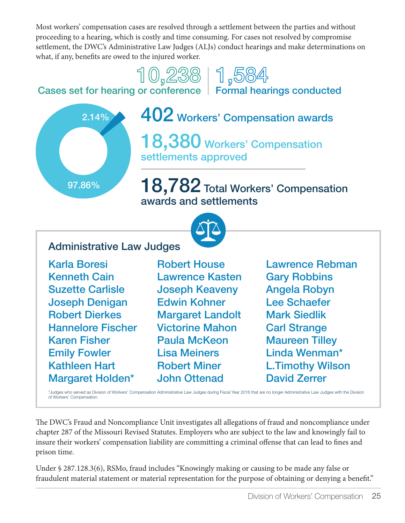Most workers' compensation cases are resolved through a settlement between the parties and without proceeding to a hearing, which is costly and time consuming. For cases not resolved by compromise settlement, the DWC's Administrative Law Judges (ALJs) conduct hearings and make determinations on what, if any, benefits are owed to the injured worker.

## $\begin{bmatrix} \begin{matrix} 1 \end{matrix} & \begin{matrix} 0 \\ 2 \end{matrix} & \begin{matrix} 20 \\ 0 \end{matrix} & \begin{matrix} 1 \\ 0 \end{matrix} & \begin{matrix} 50 \\ 4 \end{matrix} & \begin{matrix} 60 \\ 70 \end{matrix} & \begin{matrix} 60 \\ 1 \end{matrix} & \begin{matrix} 60 \\ 1 \end{matrix} & \begin{matrix} 60 \\ 1 \end{matrix} & \begin{matrix} 60 \\ 1 \end{matrix} & \begin{matrix} 60 \\ 1 \end{matrix} & \begin{matrix} 60 \\ 1 \end{matrix} & \begin{matrix} 60 \\ 1 \end{matrix$

97.86% 2.14%

402 Workers' Compensation awards

18,380 Workers' Compensation settlements approved

18,782 Total Workers' Compensation awards and settlements



#### Administrative Law Judges

Karla Boresi Kenneth Cain Suzette Carlisle Joseph Denigan Robert Dierkes Hannelore Fischer Karen Fisher Emily Fowler Kathleen Hart Margaret Holden\*

Robert House Lawrence Kasten Joseph Keaveny Edwin Kohner Margaret Landolt Victorine Mahon Paula McKeon Lisa Meiners Robert Miner John Ottenad

Lawrence Rebman Gary Robbins Angela Robyn Lee Schaefer Mark Siedlik Carl Strange Maureen Tilley Linda Wenman\* L.Timothy Wilson David Zerrer

\*Judges who served as Division of Workers' Compensation Administrative Law Judges during Fiscal Year 2016 that are no longer Administrative Law Judges with the Division of Workers' Compensation.

e DWC's Fraud and Noncompliance Unit investigates all allegations of fraud and noncompliance under chapter 287 of the Missouri Revised Statutes. Employers who are subject to the law and knowingly fail to insure their workers' compensation liability are committing a criminal offense that can lead to fines and prison time.

Under § 287.128.3(6), RSMo, fraud includes "Knowingly making or causing to be made any false or fraudulent material statement or material representation for the purpose of obtaining or denying a benet."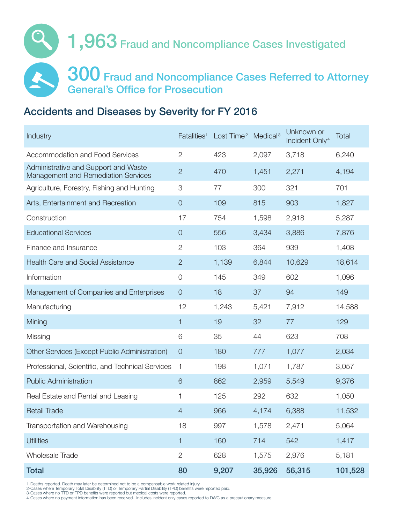

#### Accidents and Diseases by Severity for FY 2016

| Industry                                                                           | Fatalities <sup>1</sup> | Lost Time <sup>2</sup> | Medical <sup>3</sup> | Unknown or<br>Incident Only <sup>4</sup> | <b>Total</b> |
|------------------------------------------------------------------------------------|-------------------------|------------------------|----------------------|------------------------------------------|--------------|
| Accommodation and Food Services                                                    | $\overline{2}$          | 423                    | 2,097                | 3,718                                    | 6,240        |
| Administrative and Support and Waste<br><b>Management and Remediation Services</b> | $\overline{2}$          | 470                    | 1,451                | 2,271                                    | 4,194        |
| Agriculture, Forestry, Fishing and Hunting                                         | 3                       | 77                     | 300                  | 321                                      | 701          |
| Arts, Entertainment and Recreation                                                 | $\overline{O}$          | 109                    | 815                  | 903                                      | 1,827        |
| Construction                                                                       | 17                      | 754                    | 1,598                | 2,918                                    | 5,287        |
| <b>Educational Services</b>                                                        | $\overline{O}$          | 556                    | 3,434                | 3,886                                    | 7,876        |
| Finance and Insurance                                                              | $\overline{2}$          | 103                    | 364                  | 939                                      | 1,408        |
| <b>Health Care and Social Assistance</b>                                           | $\overline{2}$          | 1,139                  | 6,844                | 10,629                                   | 18,614       |
| Information                                                                        | $\overline{O}$          | 145                    | 349                  | 602                                      | 1,096        |
| Management of Companies and Enterprises                                            | $\overline{O}$          | 18                     | 37                   | 94                                       | 149          |
| Manufacturing                                                                      | 12                      | 1,243                  | 5,421                | 7,912                                    | 14,588       |
| Mining                                                                             | 1                       | 19                     | 32                   | 77                                       | 129          |
| Missing                                                                            | 6                       | 35                     | 44                   | 623                                      | 708          |
| Other Services (Except Public Administration)                                      | $\overline{O}$          | 180                    | 777                  | 1,077                                    | 2,034        |
| Professional, Scientific, and Technical Services                                   | 1                       | 198                    | 1,071                | 1,787                                    | 3,057        |
| <b>Public Administration</b>                                                       | 6                       | 862                    | 2,959                | 5,549                                    | 9,376        |
| Real Estate and Rental and Leasing                                                 | 1                       | 125                    | 292                  | 632                                      | 1,050        |
| <b>Retail Trade</b>                                                                | $\overline{4}$          | 966                    | 4,174                | 6,388                                    | 11,532       |
| Transportation and Warehousing                                                     | 18                      | 997                    | 1,578                | 2,471                                    | 5,064        |
| <b>Utilities</b>                                                                   | $\mathbf{1}$            | 160                    | 714                  | 542                                      | 1,417        |
| <b>Wholesale Trade</b>                                                             | $\overline{2}$          | 628                    | 1,575                | 2,976                                    | 5,181        |
| <b>Total</b>                                                                       | 80                      | 9,207                  | 35,926               | 56,315                                   | 101,528      |

1-Deaths reported. Death may later be determined not to be a compensable work related injury.<br>2-Cases where Temporary Total Disability (TTD) or Temporary Partial Disability (TPD) benefits were reported paid.<br>3-Cases where

4-Cases where no payment information has been received. Includes incident only cases reported to DWC as a precautionary measure.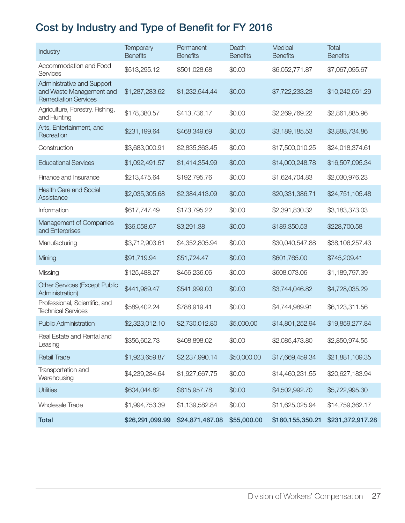### Cost by Industry and Type of Benefit for FY 2016

| Industry                                                                              | <b>Temporary</b><br><b>Benefits</b> | Permanent<br><b>Benefits</b> | Death<br><b>Benefits</b> | Medical<br><b>Benefits</b> | <b>Total</b><br><b>Benefits</b> |
|---------------------------------------------------------------------------------------|-------------------------------------|------------------------------|--------------------------|----------------------------|---------------------------------|
| Accommodation and Food<br>Services                                                    | \$513,295.12                        | \$501,028.68                 | \$0.00                   | \$6,052,771.87             | \$7,067,095.67                  |
| Administrative and Support<br>and Waste Management and<br><b>Remediation Services</b> | \$1,287,283.62                      | \$1,232,544.44               | \$0.00                   | \$7,722,233.23             | \$10,242,061.29                 |
| Agriculture, Forestry, Fishing,<br>and Hunting                                        | \$178,380.57                        | \$413,736.17                 | \$0.00                   | \$2,269,769.22             | \$2,861,885.96                  |
| Arts, Entertainment, and<br>Recreation                                                | \$231,199.64                        | \$468,349.69                 | \$0.00                   | \$3,189,185.53             | \$3,888,734.86                  |
| Construction                                                                          | \$3,683,000.91                      | \$2,835,363.45               | \$0.00                   | \$17,500,010.25            | \$24,018,374.61                 |
| <b>Educational Services</b>                                                           | \$1,092,491.57                      | \$1,414,354.99               | \$0.00                   | \$14,000,248.78            | \$16,507,095.34                 |
| Finance and Insurance                                                                 | \$213,475.64                        | \$192,795.76                 | \$0.00                   | \$1,624,704.83             | \$2,030,976.23                  |
| <b>Health Care and Social</b><br>Assistance                                           | \$2,035,305.68                      | \$2,384,413.09               | \$0.00                   | \$20,331,386.71            | \$24,751,105.48                 |
| Information                                                                           | \$617,747.49                        | \$173,795.22                 | \$0.00                   | \$2,391,830.32             | \$3,183,373.03                  |
| Management of Companies<br>and Enterprises                                            | \$36,058.67                         | \$3,291.38                   | \$0.00                   | \$189,350.53               | \$228,700.58                    |
| Manufacturing                                                                         | \$3,712,903.61                      | \$4,352,805.94               | \$0.00                   | \$30,040,547.88            | \$38,106,257.43                 |
| Mining                                                                                | \$91,719.94                         | \$51,724.47                  | \$0.00                   | \$601,765.00               | \$745,209.41                    |
| Missing                                                                               | \$125,488.27                        | \$456,236.06                 | \$0.00                   | \$608,073.06               | \$1,189,797.39                  |
| <b>Other Services (Except Public</b><br>Administration)                               | \$441,989.47                        | \$541,999.00                 | \$0.00                   | \$3,744,046.82             | \$4,728,035.29                  |
| Professional, Scientific, and<br><b>Technical Services</b>                            | \$589,402.24                        | \$788,919.41                 | \$0.00                   | \$4,744,989.91             | \$6,123,311.56                  |
| <b>Public Administration</b>                                                          | \$2,323,012.10                      | \$2,730,012.80               | \$5,000.00               | \$14,801,252.94            | \$19,859,277.84                 |
| Real Estate and Rental and<br>Leasing                                                 | \$356,602.73                        | \$408,898.02                 | \$0.00                   | \$2,085,473.80             | \$2,850,974.55                  |
| <b>Retail Trade</b>                                                                   | \$1,923,659.87                      | \$2,237,990.14               | \$50,000.00              | \$17,669,459.34            | \$21,881,109.35                 |
| Transportation and<br>Warehousing                                                     | \$4,239,284.64                      | \$1,927,667.75               | \$0.00                   | \$14,460,231.55            | \$20,627,183.94                 |
| <b>Utilities</b>                                                                      | \$604,044.82                        | \$615,957.78                 | \$0.00                   | \$4,502,992.70             | \$5,722,995.30                  |
| Wholesale Trade                                                                       | \$1,994,753.39                      | \$1,139,582.84               | \$0.00                   | \$11,625,025.94            | \$14,759,362.17                 |
| <b>Total</b>                                                                          | \$26,291,099.99                     | \$24,871,467.08              | \$55,000.00              | \$180,155,350.21           | \$231,372,917.28                |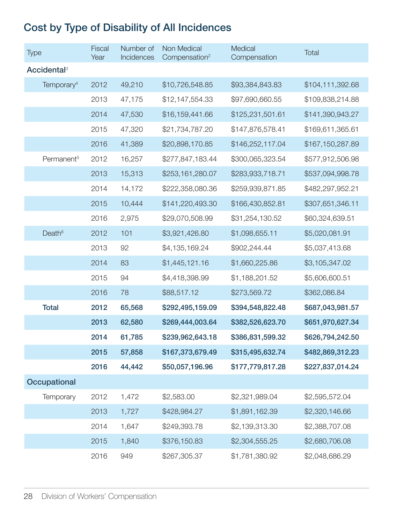### Cost by Type of Disability of All Incidences

| Type                          | <b>Fiscal</b><br>Year | Number of<br>Incidences | Non Medical<br>Compensation <sup>2</sup> | Medical<br>Compensation | Total            |
|-------------------------------|-----------------------|-------------------------|------------------------------------------|-------------------------|------------------|
| <b>Accidental<sup>3</sup></b> |                       |                         |                                          |                         |                  |
| Temporary <sup>4</sup>        | 2012                  | 49,210                  | \$10,726,548.85                          | \$93,384,843.83         | \$104,111,392.68 |
|                               | 2013                  | 47,175                  | \$12,147,554.33                          | \$97,690,660.55         | \$109,838,214.88 |
|                               | 2014                  | 47,530                  | \$16,159,441.66                          | \$125,231,501.61        | \$141,390,943.27 |
|                               | 2015                  | 47,320                  | \$21,734,787.20                          | \$147,876,578.41        | \$169,611,365.61 |
|                               | 2016                  | 41,389                  | \$20,898,170.85                          | \$146,252,117.04        | \$167,150,287.89 |
| Permanent <sup>5</sup>        | 2012                  | 16,257                  | \$277,847,183.44                         | \$300,065,323.54        | \$577,912,506.98 |
|                               | 2013                  | 15,313                  | \$253,161,280.07                         | \$283,933,718.71        | \$537,094,998.78 |
|                               | 2014                  | 14,172                  | \$222,358,080.36                         | \$259,939,871.85        | \$482,297,952.21 |
|                               | 2015                  | 10,444                  | \$141,220,493.30                         | \$166,430,852.81        | \$307,651,346.11 |
|                               | 2016                  | 2,975                   | \$29,070,508.99                          | \$31,254,130.52         | \$60,324,639.51  |
| Death <sup>6</sup>            | 2012                  | 101                     | \$3,921,426.80                           | \$1,098,655.11          | \$5,020,081.91   |
|                               | 2013                  | 92                      | \$4,135,169.24                           | \$902,244.44            | \$5,037,413.68   |
|                               | 2014                  | 83                      | \$1,445,121.16                           | \$1,660,225.86          | \$3,105,347.02   |
|                               | 2015                  | 94                      | \$4,418,398.99                           | \$1,188,201.52          | \$5,606,600.51   |
|                               | 2016                  | 78                      | \$88,517.12                              | \$273,569.72            | \$362,086.84     |
| <b>Total</b>                  | 2012                  | 65,568                  | \$292,495,159.09                         | \$394,548,822.48        | \$687,043,981.57 |
|                               | 2013                  | 62,580                  | \$269,444,003.64                         | \$382,526,623.70        | \$651,970,627.34 |
|                               | 2014                  | 61,785                  | \$239,962,643.18                         | \$386,831,599.32        | \$626,794,242.50 |
|                               | 2015                  | 57,858                  | \$167,373,679.49                         | \$315,495,632.74        | \$482,869,312.23 |
|                               | 2016                  | 44,442                  | \$50,057,196.96                          | \$177,779,817.28        | \$227,837,014.24 |
| Occupational                  |                       |                         |                                          |                         |                  |
| Temporary                     | 2012                  | 1,472                   | \$2,583.00                               | \$2,321,989.04          | \$2,595,572.04   |
|                               | 2013                  | 1,727                   | \$428,984.27                             | \$1,891,162.39          | \$2,320,146.66   |
|                               | 2014                  | 1,647                   | \$249,393.78                             | \$2,139,313.30          | \$2,388,707.08   |
|                               | 2015                  | 1,840                   | \$376,150.83                             | \$2,304,555.25          | \$2,680,706.08   |
|                               | 2016                  | 949                     | \$267,305.37                             | \$1,781,380.92          | \$2,048,686.29   |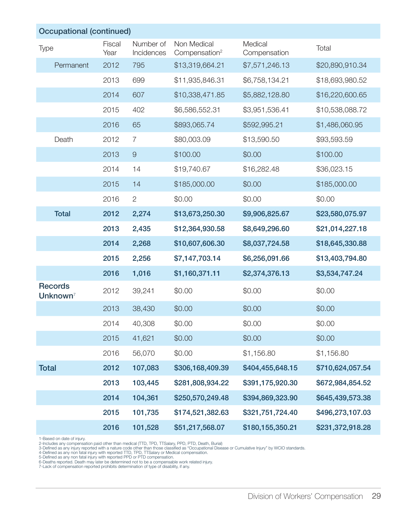| <b>Occupational (continued)</b>        |                |                         |                                          |                         |                  |  |  |
|----------------------------------------|----------------|-------------------------|------------------------------------------|-------------------------|------------------|--|--|
| <b>Type</b>                            | Fiscal<br>Year | Number of<br>Incidences | Non Medical<br>Compensation <sup>2</sup> | Medical<br>Compensation | Total            |  |  |
| Permanent                              | 2012           | 795                     | \$13,319,664.21                          | \$7,571,246.13          | \$20,890,910.34  |  |  |
|                                        | 2013           | 699                     | \$11,935,846.31                          | \$6,758,134.21          | \$18,693,980.52  |  |  |
|                                        | 2014           | 607                     | \$10,338,471.85                          | \$5,882,128.80          | \$16,220,600.65  |  |  |
|                                        | 2015           | 402                     | \$6,586,552.31                           | \$3,951,536.41          | \$10,538,088.72  |  |  |
|                                        | 2016           | 65                      | \$893,065.74                             | \$592,995.21            | \$1,486,060.95   |  |  |
| Death                                  | 2012           | $\overline{7}$          | \$80,003.09                              | \$13,590.50             | \$93,593.59      |  |  |
|                                        | 2013           | $\mathcal{G}$           | \$100.00                                 | \$0.00                  | \$100.00         |  |  |
|                                        | 2014           | 14                      | \$19,740.67                              | \$16,282.48             | \$36,023.15      |  |  |
|                                        | 2015           | 14                      | \$185,000.00                             | \$0.00                  | \$185,000.00     |  |  |
|                                        | 2016           | $\overline{2}$          | \$0.00                                   | \$0.00                  | \$0.00           |  |  |
| <b>Total</b>                           | 2012           | 2,274                   | \$13,673,250.30                          | \$9,906,825.67          | \$23,580,075.97  |  |  |
|                                        | 2013           | 2,435                   | \$12,364,930.58                          | \$8,649,296.60          | \$21,014,227.18  |  |  |
|                                        | 2014           | 2,268                   | \$10,607,606.30                          | \$8,037,724.58          | \$18,645,330.88  |  |  |
|                                        | 2015           | 2,256                   | \$7,147,703.14                           | \$6,256,091.66          | \$13,403,794.80  |  |  |
|                                        | 2016           | 1,016                   | \$1,160,371.11                           | \$2,374,376.13          | \$3,534,747.24   |  |  |
| <b>Records</b><br>Unknown <sup>7</sup> | 2012           | 39,241                  | \$0.00                                   | \$0.00                  | \$0.00           |  |  |
|                                        | 2013           | 38,430                  | \$0.00                                   | \$0.00                  | \$0.00           |  |  |
|                                        | 2014           | 40,308                  | \$0.00                                   | \$0.00                  | \$0.00           |  |  |
|                                        | 2015           | 41,621                  | \$0.00                                   | \$0.00                  | \$0.00           |  |  |
|                                        | 2016           | 56,070                  | \$0.00                                   | \$1,156.80              | \$1,156.80       |  |  |
| <b>Total</b>                           | 2012           | 107,083                 | \$306,168,409.39                         | \$404,455,648.15        | \$710,624,057.54 |  |  |
|                                        | 2013           | 103,445                 | \$281,808,934.22                         | \$391,175,920.30        | \$672,984,854.52 |  |  |
|                                        | 2014           | 104,361                 | \$250,570,249.48                         | \$394,869,323.90        | \$645,439,573.38 |  |  |
|                                        | 2015           | 101,735                 | \$174,521,382.63                         | \$321,751,724.40        | \$496,273,107.03 |  |  |
|                                        | 2016           | 101,528                 | \$51,217,568.07                          | \$180,155,350.21        | \$231,372,918.28 |  |  |

1-Based on date of injury.<br>2-Includes any compensation paid other than medical (TTD, TPD, TTSalary, PPD, PTD, Death, Burial)<br>3-Defined as any injury reported with a nature code other than those classified as "Occupational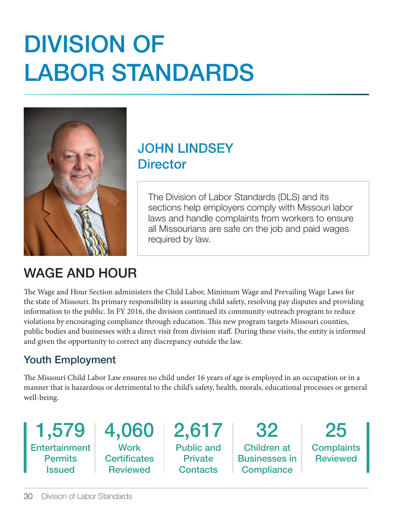## DIVISION OF LABOR STANDARDS



### JOHN LINDSEY **Director**

The Division of Labor Standards (DLS) and its sections help employers comply with Missouri labor laws and handle complaints from workers to ensure all Missourians are safe on the job and paid wages required by law.

### WAGE AND HOUR

The Wage and Hour Section administers the Child Labor, Minimum Wage and Prevailing Wage Laws for the state of Missouri. Its primary responsibility is assuring child safety, resolving pay disputes and providing information to the public. In FY 2016, the division continued its community outreach program to reduce violations by encouraging compliance through education. This new program targets Missouri counties, public bodies and businesses with a direct visit from division staff. During these visits, the entity is informed and given the opportunity to correct any discrepancy outside the law.

### Youth Employment

The Missouri Child Labor Law ensures no child under 16 years of age is employed in an occupation or in a manner that is hazardous or detrimental to the child's safety, health, morals, educational processes or general well-being.

1,579 **Entertainment Permits** Issued

4,060 **Work Certificates Reviewed** 

2,617 Public and **Private Contacts** 

32 Children at Businesses in **Compliance** 

25 **Complaints Reviewed**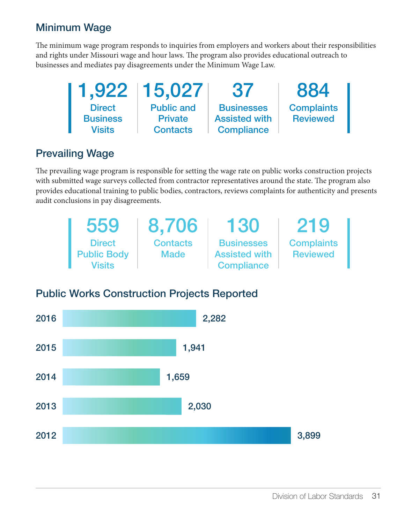### Minimum Wage

The minimum wage program responds to inquiries from employers and workers about their responsibilities and rights under Missouri wage and hour laws. The program also provides educational outreach to businesses and mediates pay disagreements under the Minimum Wage Law.

| 1,922           | 15,027            | 37                   | 884               |
|-----------------|-------------------|----------------------|-------------------|
| <b>Direct</b>   | <b>Public and</b> | <b>Businesses</b>    | <b>Complaints</b> |
| <b>Business</b> | <b>Private</b>    | <b>Assisted with</b> | <b>Reviewed</b>   |
| Visits          | <b>Contacts</b>   | <b>Compliance</b>    |                   |

### Prevailing Wage

The prevailing wage program is responsible for setting the wage rate on public works construction projects with submitted wage surveys collected from contractor representatives around the state. The program also provides educational training to public bodies, contractors, reviews complaints for authenticity and presents audit conclusions in pay disagreements.

| 559                | 8,706           | 130                  | 219               |
|--------------------|-----------------|----------------------|-------------------|
| <b>Direct</b>      | <b>Contacts</b> | <b>Businesses</b>    | <b>Complaints</b> |
| <b>Public Body</b> | <b>Made</b>     | <b>Assisted with</b> | <b>Reviewed</b>   |
| Visits             |                 | <b>Compliance</b>    |                   |

### Public Works Construction Projects Reported

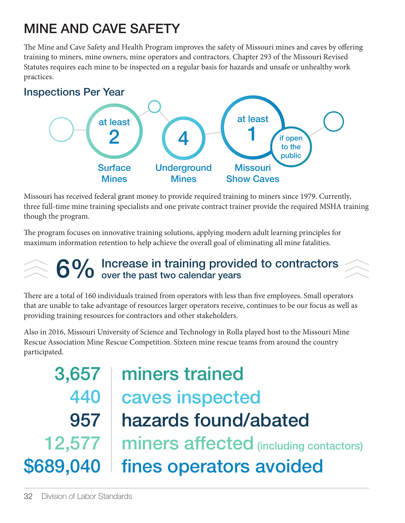### MINE AND CAVE SAFETY

The Mine and Cave Safety and Health Program improves the safety of Missouri mines and caves by offering training to miners, mine owners, mine operators and contractors. Chapter 293 of the Missouri Revised Statutes requires each mine to be inspected on a regular basis for hazards and unsafe or unhealthy work practices.



Missouri has received federal grant money to provide required training to miners since 1979. Currently, three full-time mine training specialists and one private contract trainer provide the required MSHA training though the program.

The program focuses on innovative training solutions, applying modern adult learning principles for maximum information retention to help achieve the overall goal of eliminating all mine fatalities.

## 6% Increase in training provided to contractors<br>6% over the past two calendar years

There are a total of 160 individuals trained from operators with less than five employees. Small operators that are unable to take advantage of resources larger operators receive, continues to be our focus as well as providing training resources for contractors and other stakeholders.

Also in 2016, Missouri University of Science and Technology in Rolla played host to the Missouri Mine Rescue Association Mine Rescue Competition. Sixteen mine rescue teams from around the country participated.

3,657 440 957 12,577 \$689,040

### miners trained caves inspected hazards found/abated fines operators avoided miners affected (including contactors)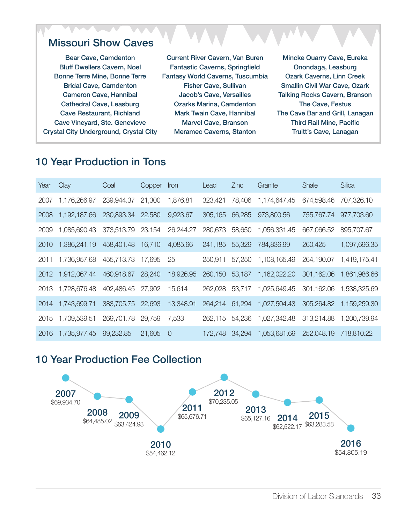#### Missouri Show Caves

Bear Cave, Camdenton Bluff Dwellers Cavern, Noel Bonne Terre Mine, Bonne Terre Bridal Cave, Camdenton Cameron Cave, Hannibal Cathedral Cave, Leasburg Cave Restaurant, Richland Cave Vineyard, Ste. Genevieve Crystal City Underground, Crystal City

Current River Cavern, Van Buren Fantastic Caverns, Springfield Fantasy World Caverns, Tuscumbia Fisher Cave, Sullivan Jacob's Cave, Versailles Ozarks Marina, Camdenton Mark Twain Cave, Hannibal Marvel Cave, Branson Meramec Caverns, Stanton

Mincke Quarry Cave, Eureka Onondaga, Leasburg Ozark Caverns, Linn Creek Smallin Civil War Cave, Ozark Talking Rocks Cavern, Branson The Cave, Festus The Cave Bar and Grill, Lanagan Third Rail Mine, Pacific Truitt's Cave, Lanagan

#### 10 Year Production in Tons

| Year | Clay         | Coal       | Copper | Iron      | Lead           | <b>Zinc</b> | Granite      | Shale      | Silica       |
|------|--------------|------------|--------|-----------|----------------|-------------|--------------|------------|--------------|
| 2007 | 1,176,266.97 | 239,944.37 | 21,300 | 1,876.81  | 323,421        | 78,406      | 1,174,647.45 | 674,598.46 | 707,326.10   |
| 2008 | 1,192,187.66 | 230,893.34 | 22,580 | 9,923.67  | 305,165        | 66,285      | 973,800.56   | 755,767.74 | 977,703.60   |
| 2009 | 1,085,690.43 | 373,513.79 | 23,154 | 26,244.27 | 280,673        | 58,650      | 1,056,331.45 | 667,066.52 | 895,707.67   |
| 2010 | 1,386,241.19 | 458,401.48 | 16,710 | 4,085.66  | 241,185        | 55,329      | 784,836.99   | 260,425    | 1,097,696.35 |
| 2011 | 1,736,957.68 | 455,713.73 | 17,695 | 25        | 250,911        | 57,250      | 1,108,165.49 | 264,190.07 | 1,419,175.41 |
| 2012 | 1,912,067.44 | 460,918.67 | 28,240 | 18,926.95 | 260,150        | 53,187      | 1,162,022.20 | 301,162.06 | 1,861,986.66 |
| 2013 | 1,728,676.48 | 402,486.45 | 27,902 | 15,614    | 262.028 53.717 |             | 1,025,649.45 | 301,162.06 | 1,538,325.69 |
| 2014 | 1,743,699.71 | 383,705.75 | 22,693 | 13,348.91 | 264,214 61,294 |             | 1,027,504.43 | 305,264.82 | 1,159,259.30 |
| 2015 | 1,709,539.51 | 269,701.78 | 29,759 | 7.533     | 262.115        | 54.236      | 1,027,342.48 | 313,214.88 | 1,200,739.94 |
| 2016 | 1,735,977.45 | 99,232.85  | 21,605 | - 0       | 172.748 34.294 |             | 1,053,681.69 | 252,048.19 | 718,810,22   |

#### 10 Year Production Fee Collection

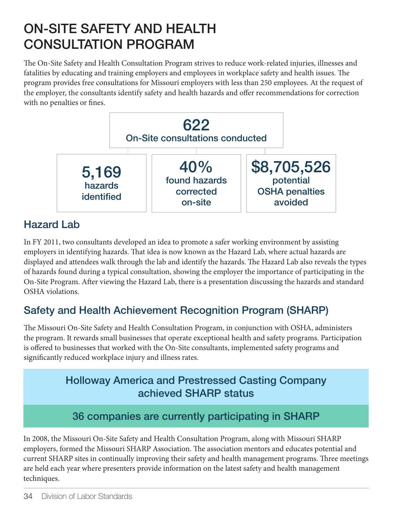### ON-SITE SAFETY AND HEALTH CONSULTATION PROGRAM

The On-Site Safety and Health Consultation Program strives to reduce work-related injuries, illnesses and fatalities by educating and training employers and employees in workplace safety and health issues. The program provides free consultations for Missouri employers with less than 250 employees. At the request of the employer, the consultants identify safety and health hazards and offer recommendations for correction with no penalties or fines.



### Hazard Lab

In FY 2011, two consultants developed an idea to promote a safer working environment by assisting employers in identifying hazards. That idea is now known as the Hazard Lab, where actual hazards are displayed and attendees walk through the lab and identify the hazards. The Hazard Lab also reveals the types of hazards found during a typical consultation, showing the employer the importance of participating in the On-Site Program. After viewing the Hazard Lab, there is a presentation discussing the hazards and standard OSHA violations.

### Safety and Health Achievement Recognition Program (SHARP)

The Missouri On-Site Safety and Health Consultation Program, in conjunction with OSHA, administers the program. It rewards small businesses that operate exceptional health and safety programs. Participation is offered to businesses that worked with the On-Site consultants, implemented safety programs and significantly reduced workplace injury and illness rates.

### Holloway America and Prestressed Casting Company achieved SHARP status

### 36 companies are currently participating in SHARP

In 2008, the Missouri On-Site Safety and Health Consultation Program, along with Missouri SHARP employers, formed the Missouri SHARP Association. The association mentors and educates potential and current SHARP sites in continually improving their safety and health management programs. Three meetings are held each year where presenters provide information on the latest safety and health management techniques.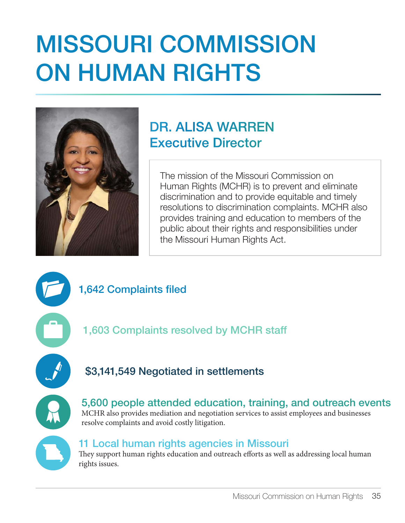## MISSOURI COMMISSION ON HUMAN RIGHTS



### DR. ALISA WARREN Executive Director

The mission of the Missouri Commission on Human Rights (MCHR) is to prevent and eliminate discrimination and to provide equitable and timely resolutions to discrimination complaints. MCHR also provides training and education to members of the public about their rights and responsibilities under the Missouri Human Rights Act.

1,642 Complaints filed

1,603 Complaints resolved by MCHR staff

### \$3,141,549 Negotiated in settlements



5,600 people attended education, training, and outreach events MCHR also provides mediation and negotiation services to assist employees and businesses resolve complaints and avoid costly litigation.



#### 11 Local human rights agencies in Missouri

They support human rights education and outreach efforts as well as addressing local human rights issues.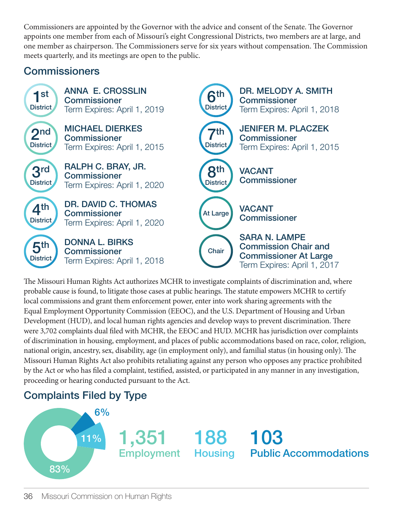Commissioners are appointed by the Governor with the advice and consent of the Senate. The Governor appoints one member from each of Missouri's eight Congressional Districts, two members are at large, and one member as chairperson. The Commissioners serve for six years without compensation. The Commission meets quarterly, and its meetings are open to the public.

### **Commissioners**



The Missouri Human Rights Act authorizes MCHR to investigate complaints of discrimination and, where probable cause is found, to litigate those cases at public hearings. The statute empowers MCHR to certify local commissions and grant them enforcement power, enter into work sharing agreements with the Equal Employment Opportunity Commission (EEOC), and the U.S. Department of Housing and Urban Development (HUD), and local human rights agencies and develop ways to prevent discrimination. There were 3,702 complaints dual filed with MCHR, the EEOC and HUD. MCHR has jurisdiction over complaints of discrimination in housing, employment, and places of public accommodations based on race, color, religion, national origin, ancestry, sex, disability, age (in employment only), and familial status (in housing only). The Missouri Human Rights Act also prohibits retaliating against any person who opposes any practice prohibited by the Act or who has filed a complaint, testified, assisted, or participated in any manner in any investigation, proceeding or hearing conducted pursuant to the Act.

### Complaints Filed by Type

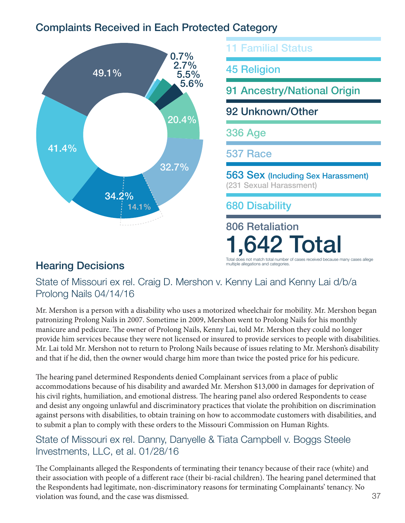### Complaints Received in Each Protected Category



91 Ancestry/National Origin 92 Unknown/Other 336 Age 537 Race 563 Sex (Including Sex Harassment) (231 Sexual Harassment) 680 Disability 806 Retaliation

1,642 Total

Total does not match total number of cases<br>multiple allegations and categories.

11 Familial Status

45 Religion

**Hearing Decisions** 

State of Missouri ex rel. Craig D. Mershon v. Kenny Lai and Kenny Lai d/b/a Prolong Nails 04/14/16

Mr. Mershon is a person with a disability who uses a motorized wheelchair for mobility. Mr. Mershon began patronizing Prolong Nails in 2007. Sometime in 2009, Mershon went to Prolong Nails for his monthly manicure and pedicure. The owner of Prolong Nails, Kenny Lai, told Mr. Mershon they could no longer provide him services because they were not licensed or insured to provide services to people with disabilities. Mr. Lai told Mr. Mershon not to return to Prolong Nails because of issues relating to Mr. Mershon's disability and that if he did, then the owner would charge him more than twice the posted price for his pedicure.

The hearing panel determined Respondents denied Complainant services from a place of public accommodations because of his disability and awarded Mr. Mershon \$13,000 in damages for deprivation of his civil rights, humiliation, and emotional distress. The hearing panel also ordered Respondents to cease and desist any ongoing unlawful and discriminatory practices that violate the prohibition on discrimination against persons with disabilities, to obtain training on how to accommodate customers with disabilities, and to submit a plan to comply with these orders to the Missouri Commission on Human Rights.

#### State of Missouri ex rel. Danny, Danyelle & Tiata Campbell v. Boggs Steele Investments, LLC, et al. 01/28/16

The Complainants alleged the Respondents of terminating their tenancy because of their race (white) and their association with people of a different race (their bi-racial children). The hearing panel determined that the Respondents had legitimate, non-discriminatory reasons for terminating Complainants' tenancy. No violation was found, and the case was dismissed.  $37$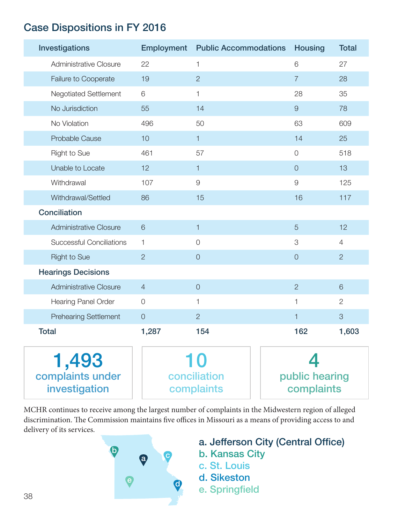### Case Dispositions in FY 2016

| Investigations                             |                 | <b>Employment</b> Public Accommodations | <b>Housing</b>               | <b>Total</b>   |
|--------------------------------------------|-----------------|-----------------------------------------|------------------------------|----------------|
| Administrative Closure                     | 22              | 1                                       | 6                            | 27             |
| Failure to Cooperate                       | 19              | $\overline{2}$                          | $\overline{7}$               | 28             |
| Negotiated Settlement                      | 6               | $\mathbf{1}$                            | 28                           | 35             |
| No Jurisdiction                            | 55              | 14                                      | $\Theta$                     | 78             |
| No Violation                               | 496             | 50                                      | 63                           | 609            |
| Probable Cause                             | 10              | $\mathbf{1}$                            | 14                           | 25             |
| <b>Right to Sue</b>                        | 461             | 57                                      | $\mathcal O$                 | 518            |
| Unable to Locate                           | 12              | $\mathbf{1}$                            | $\overline{0}$               | 13             |
| Withdrawal                                 | 107             | $\hbox{9}$                              | $\Theta$                     | 125            |
| Withdrawal/Settled                         | 86              | 15                                      | 16                           | 117            |
| <b>Conciliation</b>                        |                 |                                         |                              |                |
| Administrative Closure                     | $6\phantom{1}6$ | $\mathbf{1}$                            | 5                            | 12             |
| <b>Successful Conciliations</b>            | 1               | $\sqrt{a}$                              | 3                            | $\overline{4}$ |
| <b>Right to Sue</b>                        | $\overline{2}$  | $\overline{0}$                          | $\overline{0}$               | $\overline{2}$ |
| <b>Hearings Decisions</b>                  |                 |                                         |                              |                |
| <b>Administrative Closure</b>              | $\overline{4}$  | $\theta$                                | $\overline{2}$               | 6              |
| <b>Hearing Panel Order</b>                 | $\overline{O}$  | $\mathbf{1}$                            | 1                            | $\mathbf{2}$   |
| <b>Prehearing Settlement</b>               | $\mathsf O$     | $\overline{2}$                          | $\mathbf{1}$                 | $\mathcal{S}$  |
| <b>Total</b>                               | 1,287           | 154                                     | 162                          | 1,603          |
| 1,493<br>complaints under<br>investigation |                 | 10<br>conciliation<br>complaints        | public hearing<br>complaints |                |

MCHR continues to receive among the largest number of complaints in the Midwestern region of alleged discrimination. The Commission maintains five offices in Missouri as a means of providing access to and delivery of its services.



- a. Jefferson City (Central Office)
- b. Kansas City
- c. St. Louis
- d. Sikeston
- e. Springfield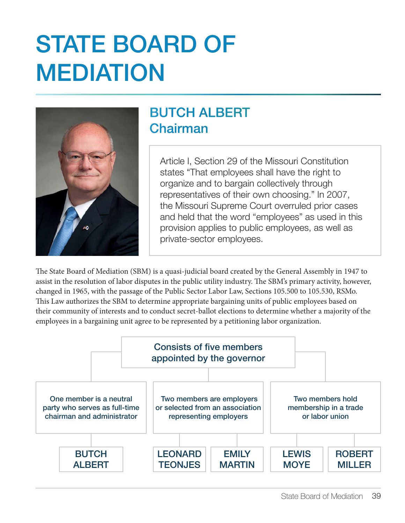## STATE BOARD OF MEDIATION



### BUTCH ALBERT Chairman

Article I, Section 29 of the Missouri Constitution states "That employees shall have the right to organize and to bargain collectively through representatives of their own choosing." In 2007, the Missouri Supreme Court overruled prior cases and held that the word "employees" as used in this provision applies to public employees, as well as private-sector employees.

The State Board of Mediation (SBM) is a quasi-judicial board created by the General Assembly in 1947 to assist in the resolution of labor disputes in the public utility industry. The SBM's primary activity, however, changed in 1965, with the passage of the Public Sector Labor Law, Sections 105.500 to 105.530, RSMo. This Law authorizes the SBM to determine appropriate bargaining units of public employees based on their community of interests and to conduct secret-ballot elections to determine whether a majority of the employees in a bargaining unit agree to be represented by a petitioning labor organization.

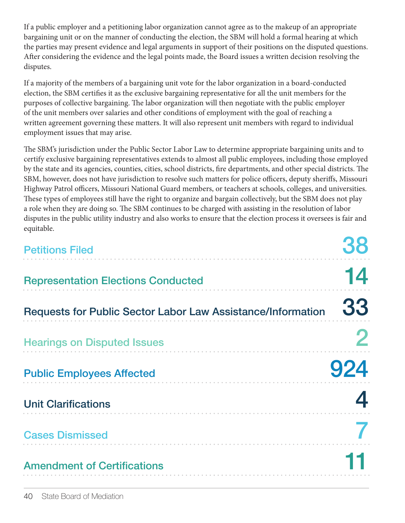If a public employer and a petitioning labor organization cannot agree as to the makeup of an appropriate bargaining unit or on the manner of conducting the election, the SBM will hold a formal hearing at which the parties may present evidence and legal arguments in support of their positions on the disputed questions. After considering the evidence and the legal points made, the Board issues a written decision resolving the disputes.

If a majority of the members of a bargaining unit vote for the labor organization in a board-conducted election, the SBM certifies it as the exclusive bargaining representative for all the unit members for the purposes of collective bargaining. The labor organization will then negotiate with the public employer of the unit members over salaries and other conditions of employment with the goal of reaching a written agreement governing these matters. It will also represent unit members with regard to individual employment issues that may arise.

The SBM's jurisdiction under the Public Sector Labor Law to determine appropriate bargaining units and to certify exclusive bargaining representatives extends to almost all public employees, including those employed by the state and its agencies, counties, cities, school districts, fire departments, and other special districts. The SBM, however, does not have jurisdiction to resolve such matters for police officers, deputy sheriffs, Missouri Highway Patrol officers, Missouri National Guard members, or teachers at schools, colleges, and universities. These types of employees still have the right to organize and bargain collectively, but the SBM does not play a role when they are doing so. The SBM continues to be charged with assisting in the resolution of labor disputes in the public utility industry and also works to ensure that the election process it oversees is fair and equitable.

| <b>Petitions Filed</b>                                      |     |
|-------------------------------------------------------------|-----|
| <b>Representation Elections Conducted</b>                   | 14  |
| Requests for Public Sector Labor Law Assistance/Information | 33  |
| <b>Hearings on Disputed Issues</b>                          |     |
| <b>Public Employees Affected</b>                            | 924 |
| <b>Unit Clarifications</b>                                  |     |
| <b>Cases Dismissed</b>                                      |     |
| <b>Amendment of Certifications</b>                          |     |